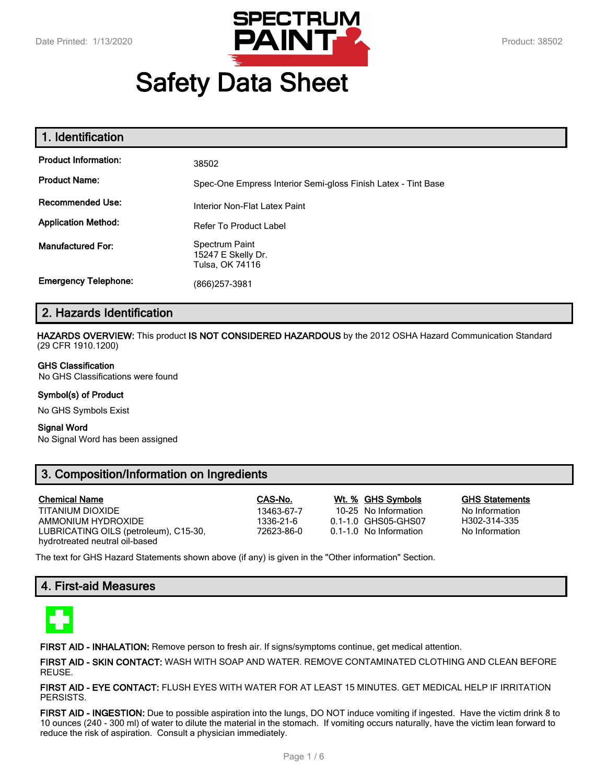

# **Safety Data Sheet**

| 1. Identification           |                                                               |
|-----------------------------|---------------------------------------------------------------|
| <b>Product Information:</b> | 38502                                                         |
| <b>Product Name:</b>        | Spec-One Empress Interior Semi-gloss Finish Latex - Tint Base |
| <b>Recommended Use:</b>     | Interior Non-Flat Latex Paint                                 |
| <b>Application Method:</b>  | <b>Refer To Product Label</b>                                 |
| <b>Manufactured For:</b>    | Spectrum Paint<br>15247 E Skelly Dr.<br>Tulsa, OK 74116       |
| <b>Emergency Telephone:</b> | (866)257-3981                                                 |

# **2. Hazards Identification**

**HAZARDS OVERVIEW:** This product **IS NOT CONSIDERED HAZARDOUS** by the 2012 OSHA Hazard Communication Standard (29 CFR 1910.1200)

#### **GHS Classification**

No GHS Classifications were found

#### **Symbol(s) of Product**

No GHS Symbols Exist

#### **Signal Word**

No Signal Word has been assigned

# **3. Composition/Information on Ingredients**

| <b>Chemical Name</b>                  | CAS-No.    | Wt. % GHS Symbols      | <b>GHS Statements</b> |
|---------------------------------------|------------|------------------------|-----------------------|
| TITANIUM DIOXIDE                      | 13463-67-7 | 10-25 No Information   | No Information        |
| AMMONIUM HYDROXIDE                    | 1336-21-6  | 0.1-1.0 GHS05-GHS07    | H302-314-335          |
| LUBRICATING OILS (petroleum), C15-30, | 72623-86-0 | 0.1-1.0 No Information | No Information        |
| hydrotreated neutral oil-based        |            |                        |                       |

The text for GHS Hazard Statements shown above (if any) is given in the "Other information" Section.

## **4. First-aid Measures**



**FIRST AID - INHALATION:** Remove person to fresh air. If signs/symptoms continue, get medical attention.

**FIRST AID - SKIN CONTACT:** WASH WITH SOAP AND WATER. REMOVE CONTAMINATED CLOTHING AND CLEAN BEFORE REUSE.

**FIRST AID - EYE CONTACT:** FLUSH EYES WITH WATER FOR AT LEAST 15 MINUTES. GET MEDICAL HELP IF IRRITATION PERSISTS.

**FIRST AID - INGESTION:** Due to possible aspiration into the lungs, DO NOT induce vomiting if ingested. Have the victim drink 8 to 10 ounces (240 - 300 ml) of water to dilute the material in the stomach. If vomiting occurs naturally, have the victim lean forward to reduce the risk of aspiration. Consult a physician immediately.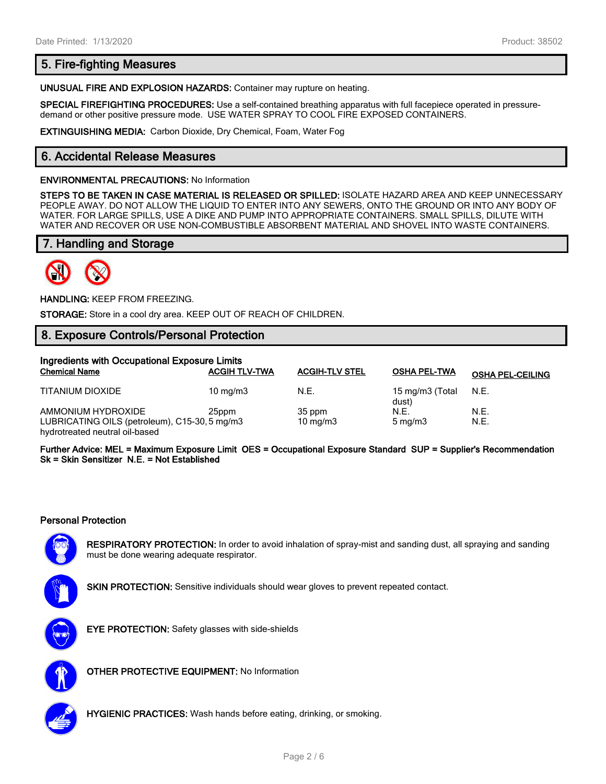# **5. Fire-fighting Measures**

**UNUSUAL FIRE AND EXPLOSION HAZARDS:** Container may rupture on heating.

**SPECIAL FIREFIGHTING PROCEDURES:** Use a self-contained breathing apparatus with full facepiece operated in pressuredemand or other positive pressure mode. USE WATER SPRAY TO COOL FIRE EXPOSED CONTAINERS.

**EXTINGUISHING MEDIA:** Carbon Dioxide, Dry Chemical, Foam, Water Fog

# **6. Accidental Release Measures**

#### **ENVIRONMENTAL PRECAUTIONS:** No Information

**STEPS TO BE TAKEN IN CASE MATERIAL IS RELEASED OR SPILLED:** ISOLATE HAZARD AREA AND KEEP UNNECESSARY PEOPLE AWAY. DO NOT ALLOW THE LIQUID TO ENTER INTO ANY SEWERS, ONTO THE GROUND OR INTO ANY BODY OF WATER. FOR LARGE SPILLS, USE A DIKE AND PUMP INTO APPROPRIATE CONTAINERS. SMALL SPILLS, DILUTE WITH WATER AND RECOVER OR USE NON-COMBUSTIBLE ABSORBENT MATERIAL AND SHOVEL INTO WASTE CONTAINERS.

# **7. Handling and Storage**



**HANDLING:** KEEP FROM FREEZING.

**STORAGE:** Store in a cool dry area. KEEP OUT OF REACH OF CHILDREN.

# **8. Exposure Controls/Personal Protection**

| Ingredients with Occupational Exposure Limits                       |                      |                       |                          |                         |
|---------------------------------------------------------------------|----------------------|-----------------------|--------------------------|-------------------------|
| <b>Chemical Name</b>                                                | <b>ACGIH TLV-TWA</b> | <b>ACGIH-TLV STEL</b> | <b>OSHA PEL-TWA</b>      | <b>OSHA PEL-CEILING</b> |
| TITANIUM DIOXIDE                                                    | 10 $mq/m3$           | N.E.                  | 15 mg/m3 (Total<br>dust) | N.E.                    |
| AMMONIUM HYDROXIDE<br>LUBRICATING OILS (petroleum), C15-30, 5 mg/m3 | 25ppm                | 35 ppm<br>10 $mq/m3$  | N.E.<br>$5 \text{ mg/m}$ | N.E.<br>N.E.            |

hydrotreated neutral oil-based **Further Advice: MEL = Maximum Exposure Limit OES = Occupational Exposure Standard SUP = Supplier's Recommendation Sk = Skin Sensitizer N.E. = Not Established**

#### **Personal Protection**



**RESPIRATORY PROTECTION:** In order to avoid inhalation of spray-mist and sanding dust, all spraying and sanding must be done wearing adequate respirator.

**SKIN PROTECTION:** Sensitive individuals should wear gloves to prevent repeated contact.



**EYE PROTECTION:** Safety glasses with side-shields



**OTHER PROTECTIVE EQUIPMENT:** No Information



**HYGIENIC PRACTICES:** Wash hands before eating, drinking, or smoking.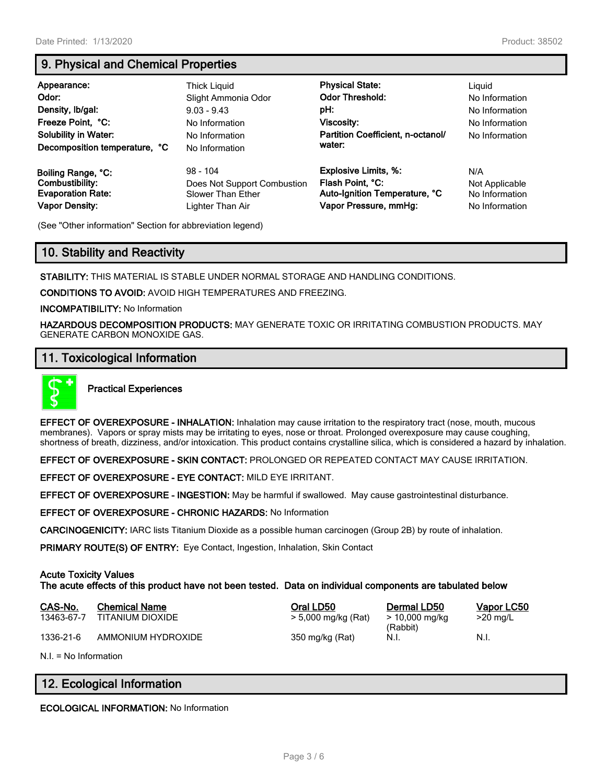# **9. Physical and Chemical Properties**

| Appearance:<br>Odor:<br>Density, Ib/gal:<br>Freeze Point, °C:<br><b>Solubility in Water:</b><br>Decomposition temperature, °C | Thick Liguid<br>Slight Ammonia Odor<br>$9.03 - 9.43$<br>No Information<br>No Information<br>No Information | <b>Physical State:</b><br><b>Odor Threshold:</b><br>pH:<br>Viscosity:<br>Partition Coefficient, n-octanol/<br>water: | Liguid<br>No Information<br>No Information<br>No Information<br>No Information |
|-------------------------------------------------------------------------------------------------------------------------------|------------------------------------------------------------------------------------------------------------|----------------------------------------------------------------------------------------------------------------------|--------------------------------------------------------------------------------|
| Boiling Range, °C:                                                                                                            | $98 - 104$                                                                                                 | <b>Explosive Limits, %:</b>                                                                                          | N/A                                                                            |
| Combustibility:                                                                                                               | Does Not Support Combustion                                                                                | Flash Point, °C:                                                                                                     | Not Applicable                                                                 |
| <b>Evaporation Rate:</b>                                                                                                      | Slower Than Ether                                                                                          | Auto-Ignition Temperature, °C                                                                                        | No Information                                                                 |
| <b>Vapor Density:</b>                                                                                                         | Lighter Than Air                                                                                           | Vapor Pressure, mmHg:                                                                                                | No Information                                                                 |

(See "Other information" Section for abbreviation legend)

# **10. Stability and Reactivity**

**STABILITY:** THIS MATERIAL IS STABLE UNDER NORMAL STORAGE AND HANDLING CONDITIONS.

**CONDITIONS TO AVOID:** AVOID HIGH TEMPERATURES AND FREEZING.

**INCOMPATIBILITY:** No Information

**HAZARDOUS DECOMPOSITION PRODUCTS:** MAY GENERATE TOXIC OR IRRITATING COMBUSTION PRODUCTS. MAY GENERATE CARBON MONOXIDE GAS.

## **11. Toxicological Information**



#### **Practical Experiences**

**EFFECT OF OVEREXPOSURE - INHALATION:** Inhalation may cause irritation to the respiratory tract (nose, mouth, mucous membranes). Vapors or spray mists may be irritating to eyes, nose or throat. Prolonged overexposure may cause coughing, shortness of breath, dizziness, and/or intoxication. This product contains crystalline silica, which is considered a hazard by inhalation.

**EFFECT OF OVEREXPOSURE - SKIN CONTACT:** PROLONGED OR REPEATED CONTACT MAY CAUSE IRRITATION.

**EFFECT OF OVEREXPOSURE - EYE CONTACT:** MILD EYE IRRITANT.

**EFFECT OF OVEREXPOSURE - INGESTION:** May be harmful if swallowed. May cause gastrointestinal disturbance.

**EFFECT OF OVEREXPOSURE - CHRONIC HAZARDS:** No Information

**CARCINOGENICITY:** IARC lists Titanium Dioxide as a possible human carcinogen (Group 2B) by route of inhalation.

**PRIMARY ROUTE(S) OF ENTRY:** Eye Contact, Ingestion, Inhalation, Skin Contact

#### **Acute Toxicity Values**

**The acute effects of this product have not been tested. Data on individual components are tabulated below**

| CAS-No.    | <b>Chemical Name</b> | Oral LD50           | Dermal LD50                | Vapor LC50 |
|------------|----------------------|---------------------|----------------------------|------------|
| 13463-67-7 | TITANIUM DIOXIDE     | > 5,000 mg/kg (Rat) | > 10,000 mg/kg<br>(Rabbit) | $>20$ mg/L |
| 1336-21-6  | AMMONIUM HYDROXIDE   | 350 mg/kg (Rat)     | N.I.                       | - N.I.     |

N.I. = No Information

# **12. Ecological Information**

**ECOLOGICAL INFORMATION:** No Information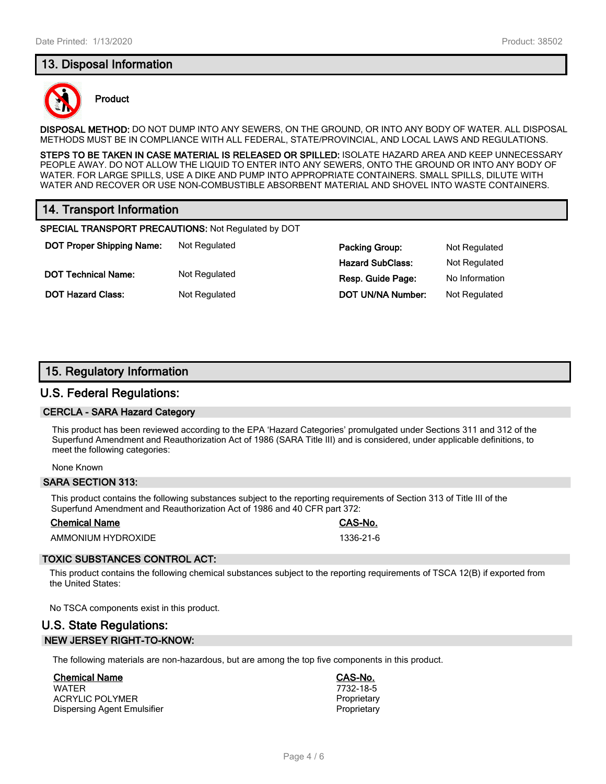# **13. Disposal Information**



#### **Product**

**DISPOSAL METHOD:** DO NOT DUMP INTO ANY SEWERS, ON THE GROUND, OR INTO ANY BODY OF WATER. ALL DISPOSAL METHODS MUST BE IN COMPLIANCE WITH ALL FEDERAL, STATE/PROVINCIAL, AND LOCAL LAWS AND REGULATIONS.

**STEPS TO BE TAKEN IN CASE MATERIAL IS RELEASED OR SPILLED:** ISOLATE HAZARD AREA AND KEEP UNNECESSARY PEOPLE AWAY. DO NOT ALLOW THE LIQUID TO ENTER INTO ANY SEWERS, ONTO THE GROUND OR INTO ANY BODY OF WATER. FOR LARGE SPILLS, USE A DIKE AND PUMP INTO APPROPRIATE CONTAINERS. SMALL SPILLS, DILUTE WITH WATER AND RECOVER OR USE NON-COMBUSTIBLE ABSORBENT MATERIAL AND SHOVEL INTO WASTE CONTAINERS.

# **14. Transport Information**

**SPECIAL TRANSPORT PRECAUTIONS:** Not Regulated by DOT

**DOT Proper Shipping Name:** Not Regulated **Packing Group:** Not Regulated **Packing Group:** Not Regulated

**Hazard SubClass:** Not Regulated **DOT Technical Name:** Not Regulated **Resp. Guide Page:** No Information **DOT Hazard Class:** Not Regulated **DOT UN/NA Number:** Not Regulated

# **15. Regulatory Information**

#### **U.S. Federal Regulations:**

#### **CERCLA - SARA Hazard Category**

This product has been reviewed according to the EPA 'Hazard Categories' promulgated under Sections 311 and 312 of the Superfund Amendment and Reauthorization Act of 1986 (SARA Title III) and is considered, under applicable definitions, to meet the following categories:

#### None Known

#### **SARA SECTION 313:**

This product contains the following substances subject to the reporting requirements of Section 313 of Title III of the Superfund Amendment and Reauthorization Act of 1986 and 40 CFR part 372:

#### **Chemical Name CAS-No.**

AMMONIUM HYDROXIDE 1336-21-6

#### **TOXIC SUBSTANCES CONTROL ACT:**

This product contains the following chemical substances subject to the reporting requirements of TSCA 12(B) if exported from the United States:

No TSCA components exist in this product.

# **U.S. State Regulations: NEW JERSEY RIGHT-TO-KNOW:**

The following materials are non-hazardous, but are among the top five components in this product.

#### **Chemical Name CAS-No.**

WATER 7732-18-5 ACRYLIC POLYMER<br>
Dispersing Agent Emulsifier<br>
Proprietary
Poprietary Dispersing Agent Emulsifier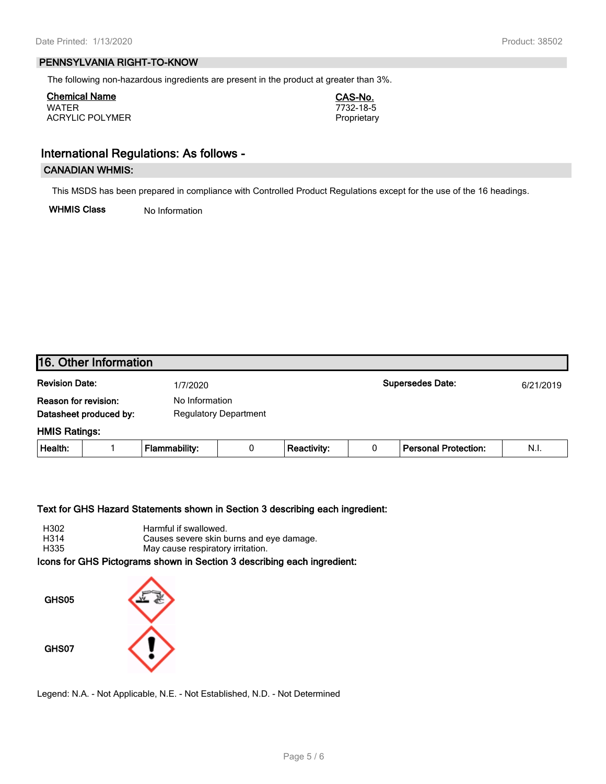#### **PENNSYLVANIA RIGHT-TO-KNOW**

The following non-hazardous ingredients are present in the product at greater than 3%.

**Chemical Name CAS-No.** WATER 7732-18-5 ACRYLIC POLYMER **Proprietary** 

# **International Regulations: As follows -**

#### **CANADIAN WHMIS:**

This MSDS has been prepared in compliance with Controlled Product Regulations except for the use of the 16 headings.

**WHMIS Class** No Information

| 16. Other Information |                        |                      |                              |                    |   |                             |           |
|-----------------------|------------------------|----------------------|------------------------------|--------------------|---|-----------------------------|-----------|
| <b>Revision Date:</b> |                        | 1/7/2020             |                              |                    |   | <b>Supersedes Date:</b>     | 6/21/2019 |
| Reason for revision:  | Datasheet produced by: | No Information       | <b>Regulatory Department</b> |                    |   |                             |           |
| <b>HMIS Ratings:</b>  |                        |                      |                              |                    |   |                             |           |
| Health:               |                        | <b>Flammability:</b> | 0                            | <b>Reactivity:</b> | 0 | <b>Personal Protection:</b> | N.I.      |
|                       |                        |                      |                              |                    |   |                             |           |

#### **Text for GHS Hazard Statements shown in Section 3 describing each ingredient:**

| H302 | Harmful if swallowed.                    |
|------|------------------------------------------|
| H314 | Causes severe skin burns and eye damage. |
| H335 | May cause respiratory irritation.        |
|      |                                          |

**Icons for GHS Pictograms shown in Section 3 describing each ingredient:**



Legend: N.A. - Not Applicable, N.E. - Not Established, N.D. - Not Determined